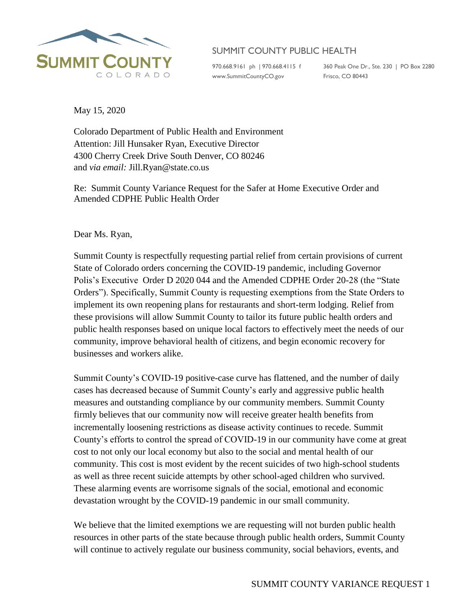

## SUMMIT COUNTY PUBLIC HEALTH

[www.SummitCountyCO.gov](http://www.summitcountyco.gov/) Frisco, CO 80443

970.668.9161 ph | 970.668.4115 f 360 Peak One Dr., Ste. 230 | PO Box 2280

May 15, 2020

Colorado Department of Public Health and Environment Attention: Jill Hunsaker Ryan, Executive Director 4300 Cherry Creek Drive South Denver, CO 80246 and *via email:* Jill.Ryan@state.co.us

Re: Summit County Variance Request for the Safer at Home Executive Order and Amended CDPHE Public Health Order

Dear Ms. Ryan,

Summit County is respectfully requesting partial relief from certain provisions of current State of Colorado orders concerning the COVID-19 pandemic, including Governor Polis's Executive Order D 2020 044 and the Amended CDPHE Order 20-28 (the "State Orders"). Specifically, Summit County is requesting exemptions from the State Orders to implement its own reopening plans for restaurants and short-term lodging. Relief from these provisions will allow Summit County to tailor its future public health orders and public health responses based on unique local factors to effectively meet the needs of our community, improve behavioral health of citizens, and begin economic recovery for businesses and workers alike.

Summit County's COVID-19 positive-case curve has flattened, and the number of daily cases has decreased because of Summit County's early and aggressive public health measures and outstanding compliance by our community members. Summit County firmly believes that our community now will receive greater health benefits from incrementally loosening restrictions as disease activity continues to recede. Summit County's efforts to control the spread of COVID-19 in our community have come at great cost to not only our local economy but also to the social and mental health of our community. This cost is most evident by the recent suicides of two high-school students as well as three recent suicide attempts by other school-aged children who survived. These alarming events are worrisome signals of the social, emotional and economic devastation wrought by the COVID-19 pandemic in our small community.

We believe that the limited exemptions we are requesting will not burden public health resources in other parts of the state because through public health orders, Summit County will continue to actively regulate our business community, social behaviors, events, and